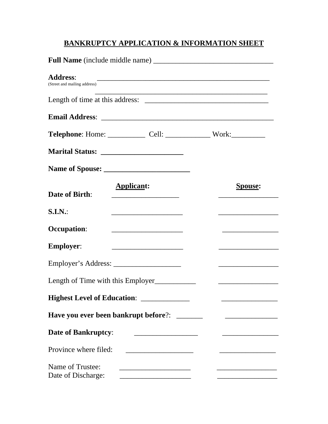# **BANKRUPTCY APPLICATION & INFORMATION SHEET**

| <b>Address:</b><br><u> 2000 - Jan James James James James James James James James James James James James James James James James J</u><br>(Street and mailing address) |                                                                                                                                                                                                                                                        |
|-------------------------------------------------------------------------------------------------------------------------------------------------------------------------|--------------------------------------------------------------------------------------------------------------------------------------------------------------------------------------------------------------------------------------------------------|
|                                                                                                                                                                         |                                                                                                                                                                                                                                                        |
|                                                                                                                                                                         |                                                                                                                                                                                                                                                        |
| Telephone: Home: ______________ Cell: ________________ Work: ____________                                                                                               |                                                                                                                                                                                                                                                        |
|                                                                                                                                                                         |                                                                                                                                                                                                                                                        |
|                                                                                                                                                                         |                                                                                                                                                                                                                                                        |
| <b>Applicant:</b><br>Date of Birth:                                                                                                                                     | <b>Spouse:</b><br><u> 1989 - Johann John Stone, market fan it ferstjer fan it ferstjer fan it ferstjer fan it ferstjer fan it ferstjer fan it ferstjer fan it ferstjer fan it ferstjer fan it ferstjer fan it ferstjer fan it ferstjer fan it fers</u> |
| S.I.N.                                                                                                                                                                  |                                                                                                                                                                                                                                                        |
| <b>Occupation:</b>                                                                                                                                                      |                                                                                                                                                                                                                                                        |
| <b>Employer:</b>                                                                                                                                                        |                                                                                                                                                                                                                                                        |
|                                                                                                                                                                         | the control of the control of the control of the control of the control of                                                                                                                                                                             |
| Length of Time with this Employer                                                                                                                                       | <u> 1989 - Johann Barbara, martxa alemaniar a</u>                                                                                                                                                                                                      |
| Highest Level of Education: ______________                                                                                                                              |                                                                                                                                                                                                                                                        |
| Have you ever been bankrupt before?: _______                                                                                                                            |                                                                                                                                                                                                                                                        |
| <b>Date of Bankruptcy:</b>                                                                                                                                              |                                                                                                                                                                                                                                                        |
| Province where filed:                                                                                                                                                   |                                                                                                                                                                                                                                                        |
| Name of Trustee:<br>Date of Discharge:                                                                                                                                  |                                                                                                                                                                                                                                                        |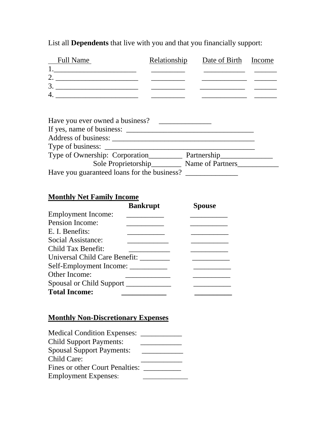| <b>Full Name</b>                                                                                                                                                                                                                                                                                                                                                                                                                                                         | Relationship                                  | Date of Birth Income |  |
|--------------------------------------------------------------------------------------------------------------------------------------------------------------------------------------------------------------------------------------------------------------------------------------------------------------------------------------------------------------------------------------------------------------------------------------------------------------------------|-----------------------------------------------|----------------------|--|
| $\begin{tabular}{ c c c } \hline $1$, \end{tabular}$                                                                                                                                                                                                                                                                                                                                                                                                                     |                                               |                      |  |
| 2.                                                                                                                                                                                                                                                                                                                                                                                                                                                                       |                                               |                      |  |
|                                                                                                                                                                                                                                                                                                                                                                                                                                                                          |                                               |                      |  |
| 4. $\overline{\phantom{a}}$ $\overline{\phantom{a}}$ $\overline{\phantom{a}}$ $\overline{\phantom{a}}$ $\overline{\phantom{a}}$ $\overline{\phantom{a}}$ $\overline{\phantom{a}}$ $\overline{\phantom{a}}$ $\overline{\phantom{a}}$ $\overline{\phantom{a}}$ $\overline{\phantom{a}}$ $\overline{\phantom{a}}$ $\overline{\phantom{a}}$ $\overline{\phantom{a}}$ $\overline{\phantom{a}}$ $\overline{\phantom{a}}$ $\overline{\phantom{a}}$ $\overline{\phantom{a}}$ $\$ |                                               |                      |  |
|                                                                                                                                                                                                                                                                                                                                                                                                                                                                          |                                               |                      |  |
| Have you ever owned a business?                                                                                                                                                                                                                                                                                                                                                                                                                                          | <u> 1980 - Andrea Albert III, martin a bh</u> |                      |  |
| If yes, name of business:                                                                                                                                                                                                                                                                                                                                                                                                                                                |                                               |                      |  |
|                                                                                                                                                                                                                                                                                                                                                                                                                                                                          |                                               |                      |  |
|                                                                                                                                                                                                                                                                                                                                                                                                                                                                          |                                               |                      |  |
| Type of Ownership: Corporation                                                                                                                                                                                                                                                                                                                                                                                                                                           |                                               | Partnership          |  |

List all **Dependents** that live with you and that you financially support:

| If yes, name of business:                   |                  |  |
|---------------------------------------------|------------------|--|
| Address of business:                        |                  |  |
| Type of business:                           |                  |  |
| Type of Ownership: Corporation              | Partnership      |  |
| Sole Proprietorship                         | Name of Partners |  |
| Have you guaranteed loans for the business? |                  |  |

## **Monthly Net Family Income**

|                                    | <b>Bankrupt</b> | <b>Spouse</b> |
|------------------------------------|-----------------|---------------|
| <b>Employment Income:</b>          |                 |               |
| <b>Pension Income:</b>             |                 |               |
| E. I. Benefits:                    |                 |               |
| Social Assistance:                 |                 |               |
| Child Tax Benefit:                 |                 |               |
| Universal Child Care Benefit: ____ |                 |               |
|                                    |                 |               |
| Other Income:                      |                 |               |
| Spousal or Child Support           |                 |               |
| <b>Total Income:</b>               |                 |               |
| Self-Employment Income:            |                 |               |

## **Monthly Non-Discretionary Expenses**

| <b>Child Support Payments:</b>   |  |
|----------------------------------|--|
| <b>Spousal Support Payments:</b> |  |
| Child Care:                      |  |
| Fines or other Court Penalties:  |  |
| <b>Employment Expenses:</b>      |  |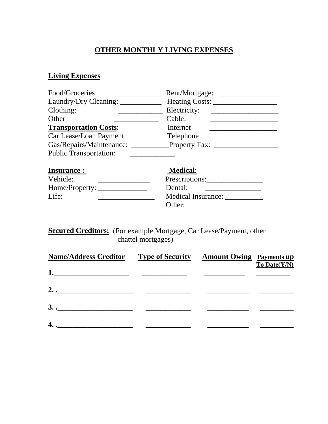# **OTHER MONTHLY LIVING EXPENSES**

### **Living Expenses**

| Food/Groceries                | Rent/Mortgage:       |
|-------------------------------|----------------------|
| Laundry/Dry Cleaning:         | Heating Costs:       |
| Clothing:                     | Electricity:         |
| Other                         | Cable:               |
| <b>Transportation Costs:</b>  | Internet             |
| Car Lease/Loan Payment        | Telephone            |
| Gas/Repairs/Maintenance:      | <b>Property Tax:</b> |
| <b>Public Transportation:</b> |                      |
| <b>Insurance:</b>             | <b>Medical:</b>      |
| Vehicle:                      | Prescriptions:       |

| Vehicle:       | Prescriptions:            |
|----------------|---------------------------|
| Home/Property: | Dental:                   |
| Life:          | <b>Medical Insurance:</b> |
|                | Other:                    |

**Secured Creditors:** (For example Mortgage, Car Lease/Payment, other chattel mortgages)

| <b>Name/Address Creditor</b>  | <b>Type of Security</b> | <b>Amount Owing</b> Payments up | $To$ Date( $Y/N$ ) |
|-------------------------------|-------------------------|---------------------------------|--------------------|
| 1.                            |                         |                                 |                    |
| $2. \underline{\hspace{2cm}}$ |                         |                                 |                    |
| $3.$ .                        |                         |                                 |                    |
| 4. .                          |                         |                                 |                    |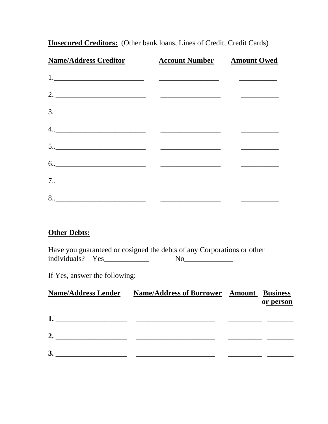| <b>Name/Address Creditor Account Number Amount Owed</b>                                                                                                                                                                                                                                                                                                                                                                                                                  |  |
|--------------------------------------------------------------------------------------------------------------------------------------------------------------------------------------------------------------------------------------------------------------------------------------------------------------------------------------------------------------------------------------------------------------------------------------------------------------------------|--|
|                                                                                                                                                                                                                                                                                                                                                                                                                                                                          |  |
| 2. $\overline{\phantom{a}}$ $\overline{\phantom{a}}$ $\overline{\phantom{a}}$ $\overline{\phantom{a}}$ $\overline{\phantom{a}}$ $\overline{\phantom{a}}$ $\overline{\phantom{a}}$ $\overline{\phantom{a}}$ $\overline{\phantom{a}}$ $\overline{\phantom{a}}$ $\overline{\phantom{a}}$ $\overline{\phantom{a}}$ $\overline{\phantom{a}}$ $\overline{\phantom{a}}$ $\overline{\phantom{a}}$ $\overline{\phantom{a}}$ $\overline{\phantom{a}}$ $\overline{\phantom{a}}$ $\$ |  |
| $\frac{3}{2}$                                                                                                                                                                                                                                                                                                                                                                                                                                                            |  |
|                                                                                                                                                                                                                                                                                                                                                                                                                                                                          |  |
|                                                                                                                                                                                                                                                                                                                                                                                                                                                                          |  |
|                                                                                                                                                                                                                                                                                                                                                                                                                                                                          |  |
|                                                                                                                                                                                                                                                                                                                                                                                                                                                                          |  |
|                                                                                                                                                                                                                                                                                                                                                                                                                                                                          |  |

**Unsecured Creditors:** (Other bank loans, Lines of Credit, Credit Cards)

### **Other Debts:**

Have you guaranteed or cosigned the debts of any Corporations or other individuals? Yes\_\_\_\_\_\_\_\_\_\_\_\_ No\_\_\_\_\_\_\_\_\_\_\_\_\_

If Yes, answer the following:

| <b>Name/Address Lender</b>                                                                                                                                                                                                          | <b>Name/Address of Borrower Amount Business</b> |           |
|-------------------------------------------------------------------------------------------------------------------------------------------------------------------------------------------------------------------------------------|-------------------------------------------------|-----------|
|                                                                                                                                                                                                                                     |                                                 | or person |
| 1.<br>the control of the control of the control of the control of the control of the control of the control of the control of the control of the control of the control of the control of the control of the control of the control |                                                 |           |
| 2.                                                                                                                                                                                                                                  |                                                 |           |
| 3.                                                                                                                                                                                                                                  |                                                 |           |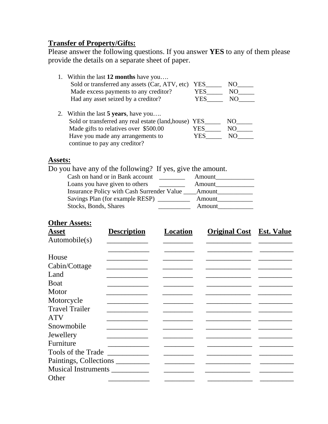## **Transfer of Property/Gifts:**

Please answer the following questions. If you answer **YES** to any of them please provide the details on a separate sheet of paper.

| 1. Within the last 12 months have you                                                                                                                                                                        |            |            |
|--------------------------------------------------------------------------------------------------------------------------------------------------------------------------------------------------------------|------------|------------|
| Sold or transferred any assets (Car, ATV, etc)                                                                                                                                                               | YES        | NO         |
| Made excess payments to any creditor?                                                                                                                                                                        | <b>YES</b> | NO         |
| Had any asset seized by a creditor?                                                                                                                                                                          | YES        | NO         |
| 2. Within the last 5 years, have you<br>Sold or transferred any real estate (land, house) YES<br>Made gifts to relatives over \$500.00<br>Have you made any arrangements to<br>continue to pay any creditor? | YES<br>YES | NO.<br>NO. |

# **Assets:**

Do you have any of the following? If yes, give the amount.

| Cash on hand or in Bank account            | Amount |
|--------------------------------------------|--------|
| Loans you have given to others             | Amount |
| Insurance Policy with Cash Surrender Value | Amount |
| Savings Plan (for example RESP) ________   | Amount |
| Stocks, Bonds, Shares                      | Amount |
|                                            |        |

#### **Other Assets:**

| <b>Asset</b>               | <b>Description</b>        | <b>Location</b> | <b>Original Cost</b> | <b>Est. Value</b> |
|----------------------------|---------------------------|-----------------|----------------------|-------------------|
| Automobile(s)              |                           |                 |                      |                   |
|                            |                           |                 |                      |                   |
| House                      |                           |                 |                      |                   |
| Cabin/Cottage              |                           |                 |                      |                   |
| Land                       |                           |                 |                      |                   |
| <b>Boat</b>                |                           |                 |                      |                   |
| Motor                      |                           |                 |                      |                   |
| Motorcycle                 |                           |                 |                      |                   |
| <b>Travel Trailer</b>      |                           |                 |                      |                   |
| <b>ATV</b>                 |                           |                 |                      |                   |
| Snowmobile                 |                           |                 |                      |                   |
| Jewellery                  |                           |                 |                      |                   |
| Furniture                  |                           |                 |                      |                   |
| Tools of the Trade         | <u> The Communication</u> |                 |                      |                   |
| Paintings, Collections     |                           |                 |                      |                   |
| <b>Musical Instruments</b> |                           |                 |                      |                   |
| Other                      |                           |                 |                      |                   |